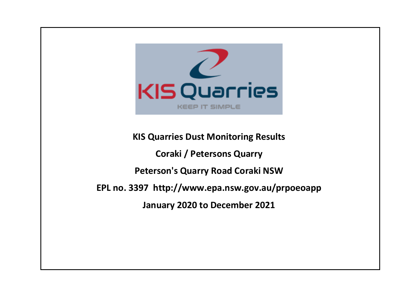

**KIS Quarries Dust Monitoring Results Coraki / Petersons Quarry Peterson's Quarry Road Coraki NSW EPL no. 3397 http://www.epa.nsw.gov.au/prpoeoapp January 2020 to December 2021**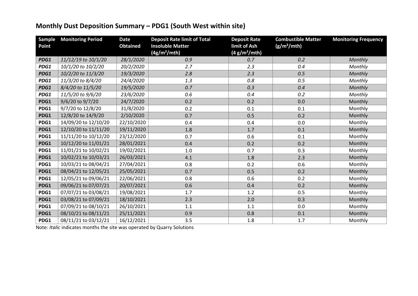## **Monthly Dust Deposition Summary – PDG1 (South West within site)**

| <b>Sample</b><br>Point | <b>Monitoring Period</b> | <b>Date</b><br><b>Obtained</b> | <b>Deposit Rate limit of Total</b><br><b>Insoluble Matter</b><br>(4g/m <sup>2</sup> /mth) | <b>Deposit Rate</b><br>limit of Ash<br>(4 g/m <sup>2</sup> /mth) | <b>Combustible Matter</b><br>(g/m <sup>2</sup> /mth) | <b>Monitoring Frequency</b> |
|------------------------|--------------------------|--------------------------------|-------------------------------------------------------------------------------------------|------------------------------------------------------------------|------------------------------------------------------|-----------------------------|
| PDG1                   | 11/12/19 to 10/1/20      | 28/1/2020                      | 0.9                                                                                       | 0.7                                                              | 0.2                                                  | Monthly                     |
| PDG1                   | 10/1/20 to 10/2/20       | 20/2/2020                      | 2.7                                                                                       | 2.3                                                              | 0.4                                                  | Monthly                     |
| PDG1                   | 10/2/20 to 11/3/20       | 19/3/2020                      | 2.8                                                                                       | 2.3                                                              | 0.5                                                  | Monthly                     |
| PDG1                   | 11/3/20 to 8/4/20        | 24/4/2020                      | 1.3                                                                                       | $0.8\,$                                                          | 0.5                                                  | Monthly                     |
| PDG1                   | 8/4/20 to 11/5/20        | 19/5/2020                      | 0.7                                                                                       | 0.3                                                              | 0.4                                                  | Monthly                     |
| PDG1                   | 11/5/20 to 9/6/20        | 23/6/2020                      | 0.6                                                                                       | 0.4                                                              | 0.2                                                  | Monthly                     |
| PDG1                   | 9/6/20 to 9/7/20         | 24/7/2020                      | 0.2                                                                                       | 0.2                                                              | 0.0                                                  | Monthly                     |
| PDG1                   | 9/7/20 to 12/8/20        | 31/8/2020                      | 0.2                                                                                       | 0.1                                                              | 0.1                                                  | Monthly                     |
| PDG1                   | 12/8/20 to 14/9/20       | 2/10/2020                      | 0.7                                                                                       | 0.5                                                              | 0.2                                                  | Monthly                     |
| PDG1                   | 14/09/20 to 12/10/20     | 22/10/2020                     | 0.4                                                                                       | 0.4                                                              | 0.0                                                  | Monthly                     |
| PDG1                   | 12/10/20 to 11/11/20     | 19/11/2020                     | 1.8                                                                                       | 1.7                                                              | 0.1                                                  | Monthly                     |
| PDG1                   | 11/11/20 to 10/12/20     | 23/12/2020                     | 0.7                                                                                       | 0.6                                                              | 0.1                                                  | Monthly                     |
| PDG1                   | 10/12/20 to 11/01/21     | 28/01/2021                     | 0.4                                                                                       | 0.2                                                              | 0.2                                                  | Monthly                     |
| PDG1                   | 11/01/21 to 10/02/21     | 19/02/2021                     | 1.0                                                                                       | 0.7                                                              | 0.3                                                  | Monthly                     |
| PDG1                   | 10/02/21 to 10/03/21     | 26/03/2021                     | 4.1                                                                                       | 1.8                                                              | 2.3                                                  | Monthly                     |
| PDG1                   | 10/03/21 to 08/04/21     | 27/04/2021                     | 0.8                                                                                       | 0.2                                                              | 0.6                                                  | Monthly                     |
| PDG1                   | 08/04/21 to 12/05/21     | 25/05/2021                     | 0.7                                                                                       | 0.5                                                              | 0.2                                                  | Monthly                     |
| PDG1                   | 12/05/21 to 09/06/21     | 22/06/2021                     | 0.8                                                                                       | 0.6                                                              | 0.2                                                  | Monthly                     |
| PDG1                   | 09/06/21 to 07/07/21     | 20/07/2021                     | 0.6                                                                                       | 0.4                                                              | 0.2                                                  | Monthly                     |
| PDG1                   | 07/07/21 to 03/08/21     | 19/08/2021                     | 1.7                                                                                       | 1.2                                                              | 0.5                                                  | Monthly                     |
| PDG1                   | 03/08/21 to 07/09/21     | 18/10/2021                     | 2.3                                                                                       | 2.0                                                              | 0.3                                                  | Monthly                     |
| PDG1                   | 07/09/21 to 08/10/21     | 26/10/2021                     | 1.1                                                                                       | 1.1                                                              | 0.0                                                  | Monthly                     |
| PDG1                   | 08/10/21 to 08/11/21     | 25/11/2021                     | 0.9                                                                                       | 0.8                                                              | 0.1                                                  | Monthly                     |
| PDG1                   | 08/11/21 to 03/12/21     | 16/12/2021                     | 3.5                                                                                       | 1.8                                                              | 1.7                                                  | Monthly                     |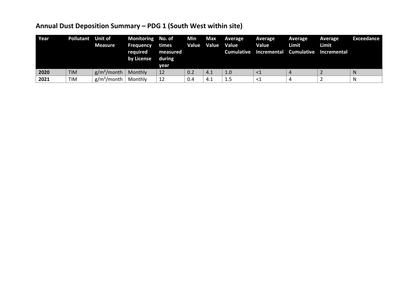# **Annual Dust Deposition Summary – PDG 1 (South West within site)**

| Year | <b>Pollutant</b> | <b>Unit of</b><br><b>Measure</b> | Monitoring No. of<br><b>Frequency</b><br>required<br>by License | times<br>measured<br>during<br>vear | Min<br>Value | Max<br>Value | Average<br>Value | <b>Average</b><br>Value<br>Cumulative Incremental Cumulative Incremental | Average<br>Limit | Average<br>Limit | Exceedance |
|------|------------------|----------------------------------|-----------------------------------------------------------------|-------------------------------------|--------------|--------------|------------------|--------------------------------------------------------------------------|------------------|------------------|------------|
| 2020 | <b>TIM</b>       | $g/m^2$ /month                   | Monthly                                                         | 12                                  | 0.2          | 4.1          | 1.0              | ${<}1$                                                                   |                  |                  | N          |
| 2021 | <b>TIM</b>       | $g/m^2$ /month                   | Monthly                                                         | 12                                  | 0.4          | 4.1          | 1.5              | $\leq$ 1                                                                 |                  |                  | N          |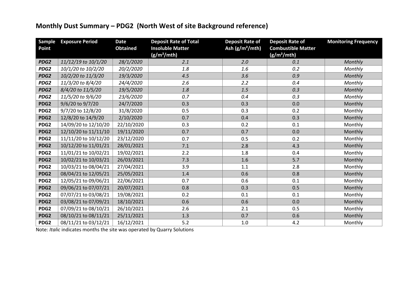## **Monthly Dust Summary – PDG2 (North West of site Background reference)**

| Sample<br>Point  | <b>Exposure Period</b> | <b>Date</b><br><b>Obtained</b> | <b>Deposit Rate of Total</b><br><b>Insoluble Matter</b><br>$(g/m^2/mth)$ | <b>Deposit Rate of</b><br>Ash (g/m <sup>2</sup> /mth) | <b>Deposit Rate of</b><br><b>Combustible Matter</b><br>(g/m <sup>2</sup> /mth) | <b>Monitoring Frequency</b> |
|------------------|------------------------|--------------------------------|--------------------------------------------------------------------------|-------------------------------------------------------|--------------------------------------------------------------------------------|-----------------------------|
| PDG <sub>2</sub> | 11/12/19 to 10/1/20    | 28/1/2020                      | 2.1                                                                      | 2.0                                                   | 0.1                                                                            | Monthly                     |
| PDG <sub>2</sub> | 10/1/20 to 10/2/20     | 20/2/2020                      | 1.8                                                                      | 1.6                                                   | 0.2                                                                            | Monthly                     |
| PDG <sub>2</sub> | 10/2/20 to 11/3/20     | 19/3/2020                      | 4.5                                                                      | 3.6                                                   | 0.9                                                                            | Monthly                     |
| PDG <sub>2</sub> | 11/3/20 to 8/4/20      | 24/4/2020                      | 2.6                                                                      | 2.2                                                   | 0.4                                                                            | Monthly                     |
| PDG <sub>2</sub> | 8/4/20 to 11/5/20      | 19/5/2020                      | 1.8                                                                      | $1.5$                                                 | 0.3                                                                            | Monthly                     |
| PDG <sub>2</sub> | 11/5/20 to 9/6/20      | 23/6/2020                      | 0.7                                                                      | 0.4                                                   | 0.3                                                                            | Monthly                     |
| PDG <sub>2</sub> | 9/6/20 to 9/7/20       | 24/7/2020                      | 0.3                                                                      | 0.3                                                   | 0.0                                                                            | Monthly                     |
| PDG <sub>2</sub> | 9/7/20 to 12/8/20      | 31/8/2020                      | 0.5                                                                      | 0.3                                                   | 0.2                                                                            | Monthly                     |
| PDG2             | 12/8/20 to 14/9/20     | 2/10/2020                      | 0.7                                                                      | 0.4                                                   | 0.3                                                                            | Monthly                     |
| PDG <sub>2</sub> | 14/09/20 to 12/10/20   | 22/10/2020                     | 0.3                                                                      | 0.2                                                   | 0.1                                                                            | Monthly                     |
| PDG <sub>2</sub> | 12/10/20 to 11/11/10   | 19/11/2020                     | 0.7                                                                      | 0.7                                                   | 0.0                                                                            | Monthly                     |
| PDG <sub>2</sub> | 11/11/20 to 10/12/20   | 23/12/2020                     | 0.7                                                                      | 0.5                                                   | 0.2                                                                            | Monthly                     |
| PDG2             | 10/12/20 to 11/01/21   | 28/01/2021                     | 7.1                                                                      | 2.8                                                   | 4.3                                                                            | Monthly                     |
| PDG <sub>2</sub> | 11/01/21 to 10/02/21   | 19/02/2021                     | 2.2                                                                      | 1.8                                                   | 0.4                                                                            | Monthly                     |
| PDG <sub>2</sub> | 10/02/21 to 10/03/21   | 26/03/2021                     | 7.3                                                                      | 1.6                                                   | 5.7                                                                            | Monthly                     |
| PDG <sub>2</sub> | 10/03/21 to 08/04/21   | 27/04/2021                     | 3.9                                                                      | 1.1                                                   | 2.8                                                                            | Monthly                     |
| PDG2             | 08/04/21 to 12/05/21   | 25/05/2021                     | 1.4                                                                      | 0.6                                                   | 0.8                                                                            | Monthly                     |
| PDG <sub>2</sub> | 12/05/21 to 09/06/21   | 22/06/2021                     | 0.7                                                                      | 0.6                                                   | 0.1                                                                            | Monthly                     |
| PDG2             | 09/06/21 to 07/07/21   | 20/07/2021                     | 0.8                                                                      | 0.3                                                   | 0.5                                                                            | Monthly                     |
| PDG <sub>2</sub> | 07/07/21 to 03/08/21   | 19/08/2021                     | 0.2                                                                      | 0.1                                                   | 0.1                                                                            | Monthly                     |
| PDG2             | 03/08/21 to 07/09/21   | 18/10/2021                     | 0.6                                                                      | 0.6                                                   | 0.0                                                                            | Monthly                     |
| PDG <sub>2</sub> | 07/09/21 to 08/10/21   | 26/10/2021                     | 2.6                                                                      | 2.1                                                   | 0.5                                                                            | Monthly                     |
| PDG <sub>2</sub> | 08/10/21 to 08/11/21   | 25/11/2021                     | 1.3                                                                      | 0.7                                                   | 0.6                                                                            | Monthly                     |
| PDG <sub>2</sub> | 08/11/21 to 03/12/21   | 16/12/2021                     | 5.2                                                                      | $1.0\,$                                               | 4.2                                                                            | Monthly                     |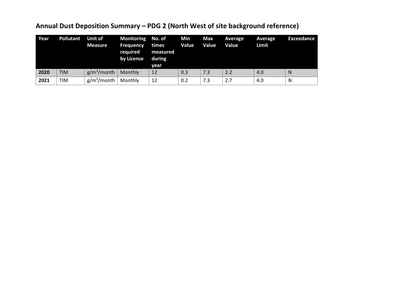## **Annual Dust Deposition Summary – PDG 2 (North West of site background reference)**

| Year | <b>Pollutant</b> | <b>Unit of</b><br><b>Measure</b> | Monitoring No. of<br><b>Frequency</b><br>required<br>by License | times<br>measured<br>during<br>year | Min<br>Value | Max<br>Value | Average<br>Value | Average<br>Limit | Exceedance |
|------|------------------|----------------------------------|-----------------------------------------------------------------|-------------------------------------|--------------|--------------|------------------|------------------|------------|
| 2020 | <b>TIM</b>       | $g/m^2$ /month                   | Monthly                                                         | 12                                  | 0.3          | 7.3          | 2.2              | 4.0              | N          |
| 2021 | TIM              | $g/m^2$ /month                   | Monthly                                                         | 12                                  | 0.2          | 7.3          | 2.7              | 4.0              | N          |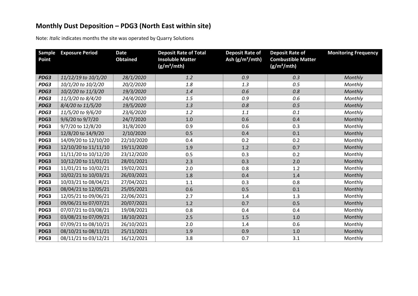## **Monthly Dust Deposition – PDG3 (North East within site)**

| <b>Sample</b><br>Point | <b>Exposure Period</b> | <b>Date</b><br><b>Obtained</b> | <b>Deposit Rate of Total</b><br><b>Insoluble Matter</b><br>$(g/m^2/mth)$ | <b>Deposit Rate of</b><br>Ash $(g/m^2/mth)$ | <b>Deposit Rate of</b><br><b>Combustible Matter</b><br>$(g/m^2/mth)$ | <b>Monitoring Frequency</b> |
|------------------------|------------------------|--------------------------------|--------------------------------------------------------------------------|---------------------------------------------|----------------------------------------------------------------------|-----------------------------|
| PDG3                   | 11/12/19 to 10/1/20    | 28/1/2020                      | 1.2                                                                      | 0.9                                         | 0.3                                                                  | Monthly                     |
| PDG3                   | 10/1/20 to 10/2/20     | 20/2/2020                      | 1.8                                                                      | 1.3                                         | 0.5                                                                  | Monthly                     |
| PDG3                   | 10/2/20 to 11/3/20     | 19/3/2020                      | 1.4                                                                      | 0.6                                         | 0.8                                                                  | Monthly                     |
| PDG3                   | 11/3/20 to 8/4/20      | 24/4/2020                      | 1.5                                                                      | 0.9                                         | 0.6                                                                  | Monthly                     |
| PDG3                   | 8/4/20 to 11/5/20      | 19/5/2020                      | 1.3                                                                      | 0.8                                         | 0.5                                                                  | Monthly                     |
| PDG3                   | 11/5/20 to 9/6/20      | 23/6/2020                      | 1.2                                                                      | 1.1                                         | 0.1                                                                  | Monthly                     |
| PDG3                   | 9/6/20 to 9/7/20       | 24/7/2020                      | 1.0                                                                      | 0.6                                         | 0.4                                                                  | Monthly                     |
| PDG3                   | 9/7/20 to 12/8/20      | 31/8/2020                      | 0.9                                                                      | 0.6                                         | 0.3                                                                  | Monthly                     |
| PDG3                   | 12/8/20 to 14/9/20     | 2/10/2020                      | 0.5                                                                      | 0.4                                         | 0.1                                                                  | Monthly                     |
| PDG3                   | 14/09/20 to 12/10/20   | 22/10/2020                     | 0.4                                                                      | 0.2                                         | 0.2                                                                  | Monthly                     |
| PDG3                   | 12/10/20 to 11/11/10   | 19/11/2020                     | 1.9                                                                      | 1.2                                         | 0.7                                                                  | Monthly                     |
| PDG3                   | 11/11/20 to 10/12/20   | 23/12/2020                     | 0.5                                                                      | 0.3                                         | 0.2                                                                  | Monthly                     |
| PDG3                   | 10/12/20 to 11/01/21   | 28/01/2021                     | 2.3                                                                      | 0.3                                         | 2.0                                                                  | Monthly                     |
| PDG3                   | 11/01/21 to 10/02/21   | 19/02/2021                     | 2.0                                                                      | 0.8                                         | 1.2                                                                  | Monthly                     |
| PDG3                   | 10/02/21 to 10/03/21   | 26/03/2021                     | 1.8                                                                      | 0.4                                         | 1.4                                                                  | Monthly                     |
| PDG3                   | 10/03/21 to 08/04/21   | 27/04/2021                     | 1.1                                                                      | 0.3                                         | 0.8                                                                  | Monthly                     |
| PDG3                   | 08/04/21 to 12/05/21   | 25/05/2021                     | 0.6                                                                      | 0.5                                         | 0.1                                                                  | Monthly                     |
| PDG3                   | 12/05/21 to 09/06/21   | 22/06/2021                     | 2.7                                                                      | 1.4                                         | 1.3                                                                  | Monthly                     |
| PDG3                   | 09/06/21 to 07/07/21   | 20/07/2021                     | 1.2                                                                      | 0.7                                         | 0.5                                                                  | Monthly                     |
| PDG3                   | 07/07/21 to 03/08/21   | 19/08/2021                     | 0.8                                                                      | 0.4                                         | 0.4                                                                  | Monthly                     |
| PDG3                   | 03/08/21 to 07/09/21   | 18/10/2021                     | 2.5                                                                      | 1.5                                         | 1.0                                                                  | Monthly                     |
| PDG3                   | 07/09/21 to 08/10/21   | 26/10/2021                     | 2.0                                                                      | 1.4                                         | 0.6                                                                  | Monthly                     |
| PDG3                   | 08/10/21 to 08/11/21   | 25/11/2021                     | 1.9                                                                      | 0.9                                         | 1.0                                                                  | Monthly                     |
| PDG3                   | 08/11/21 to 03/12/21   | 16/12/2021                     | 3.8                                                                      | 0.7                                         | 3.1                                                                  | Monthly                     |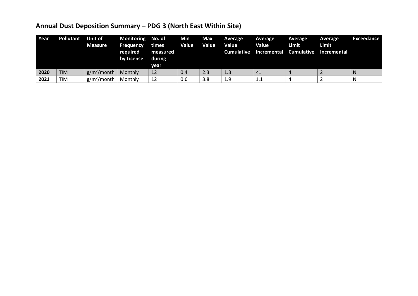## **Annual Dust Deposition Summary – PDG 3 (North East Within Site)**

| Year | <b>Pollutant</b> | Unit of<br><b>Measure</b> | Monitoring No. of<br><b>Frequency</b><br>required<br>by License | times<br>measured<br>during<br>vear | Min<br>Value | Max<br><b>Value</b> | <b>Average</b><br>Value<br><b>Cumulative</b> | Average<br>Value<br>Incremental | Average<br>Limit<br><b>Cumulative</b> | Average<br>Limit<br>Incremental | Exceedance |
|------|------------------|---------------------------|-----------------------------------------------------------------|-------------------------------------|--------------|---------------------|----------------------------------------------|---------------------------------|---------------------------------------|---------------------------------|------------|
| 2020 | <b>TIM</b>       | $g/m^2$ /month            | Monthly                                                         | 12                                  | 0.4          | 2.3                 | 1.3                                          | $\leq$ 1                        |                                       |                                 |            |
| 2021 | TIM              | $g/m^2$ /month            | Monthly                                                         | 12                                  | 0.6          | 3.8                 | 1.9                                          | 1.1                             |                                       |                                 |            |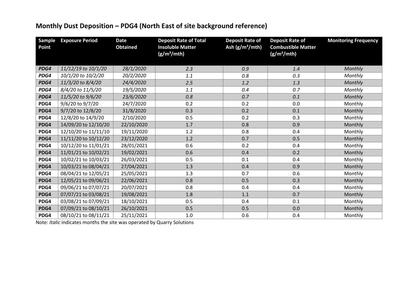## **Monthly Dust Deposition – PDG4 (North East of site background reference)**

| <b>Sample</b><br>Point | <b>Exposure Period</b> | <b>Date</b><br><b>Obtained</b> | <b>Deposit Rate of Total</b><br><b>Insoluble Matter</b><br>(g/m <sup>2</sup> /mth) | <b>Deposit Rate of</b><br>Ash $(g/m^2/mth)$ | <b>Deposit Rate of</b><br><b>Combustible Matter</b><br>$(g/m^2/mth)$ | <b>Monitoring Frequency</b> |
|------------------------|------------------------|--------------------------------|------------------------------------------------------------------------------------|---------------------------------------------|----------------------------------------------------------------------|-----------------------------|
| PDG4                   | 11/12/19 to 10/1/20    | 28/1/2020                      | 2.3                                                                                | 0.9                                         | 1.4                                                                  | Monthly                     |
| PDG4                   | 10/1/20 to 10/2/20     | 20/2/2020                      | 1.1                                                                                | 0.8                                         | 0.3                                                                  | Monthly                     |
| PDG4                   | 11/3/20 to 8/4/20      | 24/4/2020                      | 2.5                                                                                | 1.2                                         | 1.3                                                                  | Monthly                     |
| PDG4                   | 8/4/20 to 11/5/20      | 19/5/2020                      | 1.1                                                                                | 0.4                                         | 0.7                                                                  | Monthly                     |
| PDG4                   | 11/5/20 to 9/6/20      | 23/6/2020                      | 0.8                                                                                | 0.7                                         | 0.1                                                                  | Monthly                     |
| PDG4                   | 9/6/20 to 9/7/20       | 24/7/2020                      | 0.2                                                                                | 0.2                                         | 0.0                                                                  | Monthly                     |
| PDG4                   | 9/7/20 to 12/8/20      | 31/8/2020                      | 0.3                                                                                | 0.2                                         | 0.1                                                                  | Monthly                     |
| PDG4                   | 12/8/20 to 14/9/20     | 2/10/2020                      | 0.5                                                                                | 0.2                                         | 0.3                                                                  | Monthly                     |
| PDG4                   | 14/09/20 to 12/10/20   | 22/10/2020                     | 1.7                                                                                | 0.8                                         | 0.9                                                                  | Monthly                     |
| PDG4                   | 12/10/20 to 11/11/10   | 19/11/2020                     | 1.2                                                                                | 0.8                                         | 0.4                                                                  | Monthly                     |
| PDG4                   | 11/11/20 to 10/12/20   | 23/12/2020                     | 1.2                                                                                | 0.7                                         | 0.5                                                                  | Monthly                     |
| PDG4                   | 10/12/20 to 11/01/21   | 28/01/2021                     | 0.6                                                                                | 0.2                                         | 0.4                                                                  | Monthly                     |
| PDG4                   | 11/01/21 to 10/02/21   | 19/02/2021                     | 0.6                                                                                | 0.4                                         | 0.2                                                                  | Monthly                     |
| PDG4                   | 10/02/21 to 10/03/21   | 26/03/2021                     | 0.5                                                                                | 0.1                                         | 0.4                                                                  | Monthly                     |
| PDG4                   | 10/03/21 to 08/04/21   | 27/04/2021                     | 1.3                                                                                | 0.4                                         | 0.9                                                                  | Monthly                     |
| PDG4                   | 08/04/21 to 12/05/21   | 25/05/2021                     | 1.3                                                                                | 0.7                                         | 0.6                                                                  | Monthly                     |
| PDG4                   | 12/05/21 to 09/06/21   | 22/06/2021                     | 0.8                                                                                | 0.5                                         | 0.3                                                                  | Monthly                     |
| PDG4                   | 09/06/21 to 07/07/21   | 20/07/2021                     | 0.8                                                                                | 0.4                                         | 0.4                                                                  | Monthly                     |
| PDG4                   | 07/07/21 to 03/08/21   | 19/08/2021                     | 1.8                                                                                | 1.1                                         | 0.7                                                                  | Monthly                     |
| PDG4                   | 03/08/21 to 07/09/21   | 18/10/2021                     | 0.5                                                                                | 0.4                                         | 0.1                                                                  | Monthly                     |
| PDG4                   | 07/09/21 to 08/10/21   | 26/10/2021                     | 0.5                                                                                | 0.5                                         | 0.0                                                                  | Monthly                     |
| PDG4                   | 08/10/21 to 08/11/21   | 25/11/2021                     | 1.0                                                                                | 0.6                                         | 0.4                                                                  | Monthly                     |